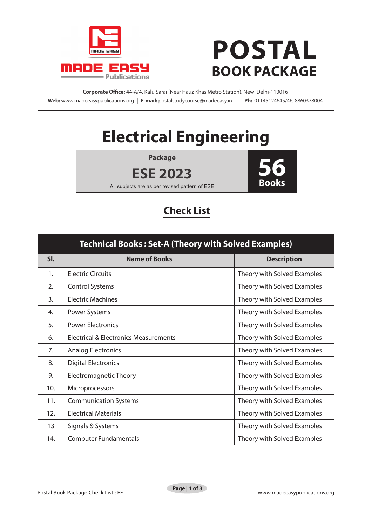

## **POSTAL BOOK PACKAGE**

**Corporate Office:** 44-A/4, Kalu Sarai (Near Hauz Khas Metro Station), New Delhi-110016 **Web:** www.madeeasypublications.org | **E-mail:** postalstudycourse@madeeasy.in | **Ph:** 01145124645/46, 8860378004

## **Electrical Engineering**

**Package**





All subjects are as per revised pattern of ESE

## **Check List**

| <b>Technical Books: Set-A (Theory with Solved Examples)</b> |                                       |                             |  |
|-------------------------------------------------------------|---------------------------------------|-----------------------------|--|
| SI.                                                         | <b>Name of Books</b>                  | <b>Description</b>          |  |
| 1.                                                          | <b>Electric Circuits</b>              | Theory with Solved Examples |  |
| 2.                                                          | <b>Control Systems</b>                | Theory with Solved Examples |  |
| 3.                                                          | <b>Electric Machines</b>              | Theory with Solved Examples |  |
| 4.                                                          | Power Systems                         | Theory with Solved Examples |  |
| 5.                                                          | <b>Power Electronics</b>              | Theory with Solved Examples |  |
| 6.                                                          | Electrical & Electronics Measurements | Theory with Solved Examples |  |
| 7.                                                          | <b>Analog Electronics</b>             | Theory with Solved Examples |  |
| 8.                                                          | <b>Digital Electronics</b>            | Theory with Solved Examples |  |
| 9.                                                          | <b>Electromagnetic Theory</b>         | Theory with Solved Examples |  |
| 10.                                                         | Microprocessors                       | Theory with Solved Examples |  |
| 11.                                                         | <b>Communication Systems</b>          | Theory with Solved Examples |  |
| 12.                                                         | <b>Electrical Materials</b>           | Theory with Solved Examples |  |
| 13                                                          | Signals & Systems                     | Theory with Solved Examples |  |
| 14.                                                         | <b>Computer Fundamentals</b>          | Theory with Solved Examples |  |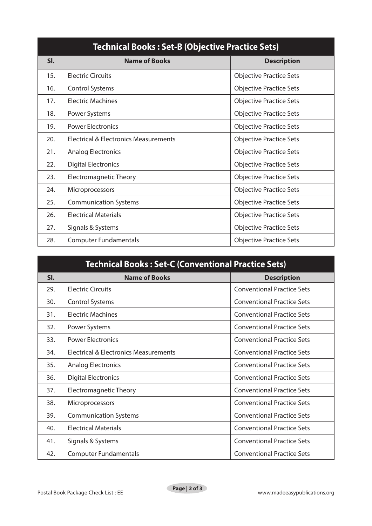| <b>Technical Books: Set-B (Objective Practice Sets)</b> |                                       |                                |  |
|---------------------------------------------------------|---------------------------------------|--------------------------------|--|
| SI.                                                     | <b>Name of Books</b>                  | <b>Description</b>             |  |
| 15.                                                     | <b>Electric Circuits</b>              | <b>Objective Practice Sets</b> |  |
| 16.                                                     | <b>Control Systems</b>                | <b>Objective Practice Sets</b> |  |
| 17.                                                     | <b>Electric Machines</b>              | <b>Objective Practice Sets</b> |  |
| 18.                                                     | Power Systems                         | <b>Objective Practice Sets</b> |  |
| 19.                                                     | <b>Power Electronics</b>              | <b>Objective Practice Sets</b> |  |
| 20.                                                     | Electrical & Electronics Measurements | <b>Objective Practice Sets</b> |  |
| 21.                                                     | <b>Analog Electronics</b>             | <b>Objective Practice Sets</b> |  |
| 22.                                                     | <b>Digital Electronics</b>            | <b>Objective Practice Sets</b> |  |
| 23.                                                     | <b>Electromagnetic Theory</b>         | <b>Objective Practice Sets</b> |  |
| 24.                                                     | Microprocessors                       | <b>Objective Practice Sets</b> |  |
| 25.                                                     | <b>Communication Systems</b>          | <b>Objective Practice Sets</b> |  |
| 26.                                                     | <b>Electrical Materials</b>           | <b>Objective Practice Sets</b> |  |
| 27.                                                     | Signals & Systems                     | <b>Objective Practice Sets</b> |  |
| 28.                                                     | <b>Computer Fundamentals</b>          | <b>Objective Practice Sets</b> |  |

| <b>Technical Books: Set-C (Conventional Practice Sets)</b> |                                                  |                                   |  |
|------------------------------------------------------------|--------------------------------------------------|-----------------------------------|--|
| SI.                                                        | <b>Name of Books</b>                             | <b>Description</b>                |  |
| 29.                                                        | <b>Electric Circuits</b>                         | <b>Conventional Practice Sets</b> |  |
| 30.                                                        | <b>Control Systems</b>                           | <b>Conventional Practice Sets</b> |  |
| 31.                                                        | <b>Electric Machines</b>                         | <b>Conventional Practice Sets</b> |  |
| 32.                                                        | Power Systems                                    | <b>Conventional Practice Sets</b> |  |
| 33.                                                        | <b>Power Electronics</b>                         | <b>Conventional Practice Sets</b> |  |
| 34.                                                        | <b>Electrical &amp; Electronics Measurements</b> | <b>Conventional Practice Sets</b> |  |
| 35.                                                        | <b>Analog Electronics</b>                        | <b>Conventional Practice Sets</b> |  |
| 36.                                                        | <b>Digital Electronics</b>                       | <b>Conventional Practice Sets</b> |  |
| 37.                                                        | <b>Electromagnetic Theory</b>                    | <b>Conventional Practice Sets</b> |  |
| 38.                                                        | Microprocessors                                  | <b>Conventional Practice Sets</b> |  |
| 39.                                                        | <b>Communication Systems</b>                     | <b>Conventional Practice Sets</b> |  |
| 40.                                                        | <b>Electrical Materials</b>                      | <b>Conventional Practice Sets</b> |  |
| 41.                                                        | Signals & Systems                                | <b>Conventional Practice Sets</b> |  |
| 42.                                                        | <b>Computer Fundamentals</b>                     | <b>Conventional Practice Sets</b> |  |